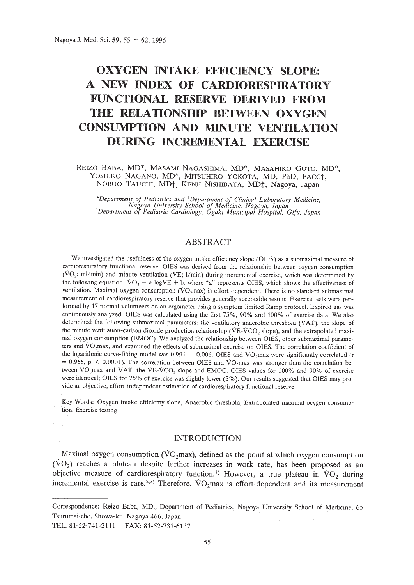# **OXYGEN INTAKE EFFICIENCY SLOPE:** A **NEW INDEX OF CARDIORESPIRATORY FUNCTIONAL RESERVE DERIVED FROM THE RELATIONSHIP BETWEEN OXYGEN CONSUMPTION AND MINUTE VENTILATION DURING INCREMENTAL EXERCISE**

REIZO BABA, MD\*, MASAMI NAGASHIMA, MD\*, MASAHIKO GOTO, MD\*, YOSHIKO NAGANO, MD\*, MITSUHIRO YOKOTA, MD, PhD, FACCt, NOBUO TAUCHI, MD‡, KENJI NISHIBATA, MD‡, Nagoya, Japan

\*Department of Pediatrics and <sup>†</sup>Department of Clinical Laboratory Medicine,<br>Nagoya University School of Medicine, Nagoya, Japan<br><sup>‡</sup>Department of Pediatric Cardiology, Ogaki Municipal Hospital, Gifu, Japan

# ABSTRACT

We investigated the usefulness of the oxygen intake efficiency slope (OIES) as a submaximal measure of cardiorespiratory functional reserve. OIES was derived from the relationship between oxygen consumption ( $VO<sub>2</sub>$ ; ml/min) and minute ventilation ( $VE$ ; l/min) during incremental exercise, which was determined by the following equation:  $VO_2 = a \log VE + b$ , where "a" represents OIES, which shows the effectiveness of ventilation. Maximal oxygen consumption ( $\dot{V}O_2$ max) is effort-dependent. There is no standard submaximal measurement of cardiorespiratory reserve that provides generally acceptable results. Exercise tests were performed by 17 normal volunteers on an ergometer using a symptom-limited Ramp protocol. Expired gas was continuously analyzed. OIES was calculated using the first 75%, 90% and 100% of exercise data. We also determined the following submaximal parameters: the ventilatory anaerobic threshold (VAT), the slope of the minute ventilation-carbon dioxide production relationship ( $VE-VCO<sub>2</sub>$  slope), and the extrapolated maximal oxygen consumption (EMOC). We analyzed the relationship between OIES, other submaximal parameters and VO<sub>2</sub>max, and examined the effects of submaximal exercise on OIES. The correlation coefficient of the logarithmic curve-fitting model was 0.991  $\pm$  0.006. OIES and VO<sub>2</sub>max were significantly correlated (r  $= 0.966$ , p < 0.0001). The correlation between OIES and VO<sub>2</sub>max was stronger than the correlation between  $\text{VO}_2$ max and VAT, the VE-VCO<sub>2</sub> slope and EMOC. OIES values for 100% and 90% of exercise were identical; OIES for 75% of exercise was slightly lower (3%). Our results suggested that OIES may provide an objective, effort-independent estimation of cardiorespiratory functional reserve.

Key Words: Oxygen intake efficienty slope, Anaerobic threshold, Extrapolated maximal ocygen consumption, Exercise testing

## INTRODUCTION

Maximal oxygen consumption ( $\overline{VO}$ <sub>2</sub>max), defined as the point at which oxygen consumption  $(\textrm{VO}_2)$  reaches a plateau despite further increases in work rate, has been proposed as an objective measure of cardiorespiratory function.<sup>1</sup> However, a true plateau in  $\text{VO}_2$  during incremental exercise is rare.<sup>2,3)</sup> Therefore,  $\sqrt{O_2}$ max is effort-dependent and its measurement

Correspondence: Reizo Baba, MD., Department of Pediatrics, Nagoya University School of Medicine, 65 Tsurumai-cho, Showa-ku, Nagoya 466, Japan TEL: 81-52-741-2111 FAX: 81-52-731-6137

55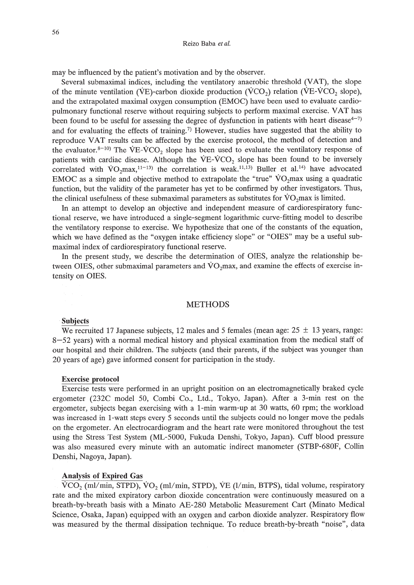#### Reizo Saba *et al.*

may be influenced by the patient's motivation and by the observer.

Several submaximal indices, including the ventilatory anaerobic threshold (VAT), the slope of the minute ventilation (VE)-carbon dioxide production (VCO<sub>2</sub>) relation (VE-VCO<sub>2</sub> slope), and the extrapolated maximal oxygen consumption (EM0C) have been used to evaluate cardiopulmonary functional reserve without requiring subjects to perform maximal exercise. VAT has been found to be useful for assessing the degree of dysfunction in patients with heart disease<sup>4-7)</sup> and for evaluating the effects of training.<sup>7)</sup> However, studies have suggested that the ability to reproduce VAT results can be affected by the exercise protocol, the method of detection and the evaluator.<sup>8-10)</sup> The VE-VCO<sub>2</sub> slope has been used to evaluate the ventilatory response of patients with cardiac disease. Although the  $VE-VCO<sub>2</sub>$  slope has been found to be inversely correlated with VO<sub>2</sub>max,<sup>11-13</sup>) the correlation is weak.<sup>11,13</sup>) Buller et al.<sup>14</sup>) have advocated EMOC as a simple and objective method to extrapolate the "true"  $VO<sub>2</sub>$ max using a quadratic function, but the validity of the parameter has yet to be confirmed by other investigators. Thus, the clinical usefulness of these submaximal parameters as substitutes for  $\text{VO}_2$ max is limited.

In an attempt to develop an objective and independent measure of cardiorespiratory functional reserve, we have introduced a single-segment logarithmic curve-fitting model to describe the ventilatory response to exercise. We hypothesize that one of the constants of the equation, which we have defined as the "oxygen intake efficiency slope" or "OIES" may be a useful submaximal index of cardiorespiratory functional reserve.

In the present study, we describe the determination of OIES, analyze the relationship between OIES, other submaximal parameters and  $\dot{V}O_2$  max, and examine the effects of exercise intensity on OIES.

## METHODS

#### Subjects

We recruited 17 Japanese subjects, 12 males and 5 females (mean age:  $25 \pm 13$  years, range: 8-52 years) with a normal medical history and physical examination from the medical staff of our hospital and their children. The subjects (and their parents, if the subject was younger than 20 years of age) gave informed consent for participation in the study.

## Exercise protocol

Exercise tests were performed in an upright position on an electromagnetically braked cycle ergometer (232C model 50, Combi Co., Ltd., Tokyo, Japan). After a 3-min rest on the ergometer, subjects began exercising with a I-min warm-up at 30 watts, 60 rpm; the workload was increased in I-watt steps every 5 seconds until the subjects could no longer move the pedals on the ergometer. An electrocardiogram and the heart rate were monitored throughout the test using the Stress Test System (ML-5000, Fukuda Denshi, Tokyo, Japan). Cuff blood pressure was also measured every minute with an automatic indirect manometer (STBP-680F, Collin Denshi, Nagoya, Japan).

### Analysis of Expired Gas

 $\text{VCO}_2$  (ml/min, STPD),  $\text{VO}_2$  (ml/min, STPD), VE (l/min, BTPS), tidal volume, respiratory rate and the mixed expiratory carbon dioxide concentration were continuously measured on a breath-by-breath basis with a Minato AE-280 Metabolic Measurement Cart (Minato Medical Science, Osaka, Japan) equipped with an oxygen and carbon dioxide analyzer. Respiratory flow was measured by the thermal dissipation technique. To reduce breath-by-breath "noise", data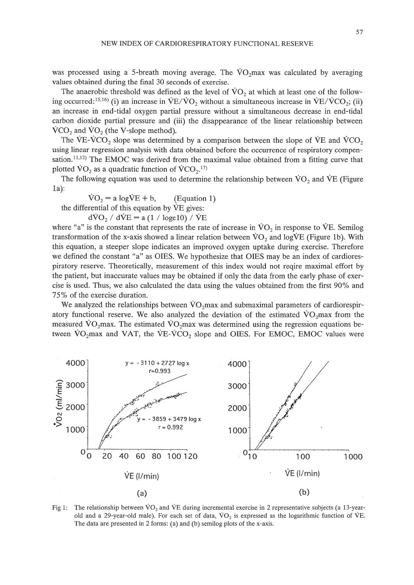57

was processed using a 5-breath moving average. The  $\rm VO_2$  max was calculated by averaging values obtained during the final 30 seconds of exercise.

The anaerobic threshold was defined as the level of  $\rm \dot{VO}_{2}$  at which at least one of the following occurred: <sup>15,16</sup>) (i) an increase in  $VE/VO_2$  without a simultaneous increase in  $VE/VCO_2$ ; (ii) an increase in end-tidal oxygen partial pressure without a simultaneous decrease in end-tidal carbon dioxide partial pressure and (iii) the disappearance of the linear relationship between  $\rm VCO$ , and  $\rm \rm VO$ , (the V-slope method).

The VE-VCO<sub>2</sub> slope was determined by a comparison between the slope of VE and VCO<sub>2</sub> using linear regression analysis with data obtained before the occurrence of respiratory compensation.<sup>11,12)</sup> The EMOC was derived from the maximal value obtained from a fitting curve that plotted  $\text{VO}_2$  as a quadratic function of  $\text{VCO}_2$ .<sup>17)</sup>

The following equation was used to determine the relationship between  $\rm VO_2$  and  $\rm VE$  (Figure 1a):

 $\text{VO}_2$  = a log $\text{VE}$  + b, (Equation 1) the differential of this equation by  $\dot{V}E$  gives:

$$
d\dot{V}O_2 / d\dot{V}E = a (1 / \log_e 10) / \dot{V}E
$$

where "a" is the constant that represents the rate of increase in  $\rm VO_2$  in response to VE. Semilog transformation of the x-axis showed a linear relation between  $VO<sub>2</sub>$  and logVE (Figure 1b). With this equation, a steeper slope indicates an improved oxygen uptake during exercise. Therefore we defined the constant "a" as OIES. We hypothesize that OIES may be an index of cardiorespiratory reserve. Theoretically, measurement of this index would not reqire maximal effort by the patient, but inaccurate values may be obtained if only the data from the early phase of exercise is used. Thus, we also calculated the data using the values obtained from the first 90% and 75% of the exercise duration.

We analyzed the relationships between  $VO_2$ max and submaximal parameters of cardiorespiratory functional reserve. We also analyzed the deviation of the estimated  $\dot{V}O_2$ max from the measured VO<sub>2</sub>max. The estimated VO<sub>2</sub>max was determined using the regression equations between  $\text{VO}_2$ max and VAT, the  $\text{VE-VCO}_2$  slope and OIES. For EMOC, EMOC values were



Fig 1: The relationship between VO<sub>2</sub> and VE during incremental exercise in 2 representative subjects (a 13-yearold and a 29-year-old male). For each set of data,  $VO<sub>2</sub>$  is expressed as the logarithmic function of VE. The data are presented in 2 forms: (a) and (b) semilog plots of the x-axis.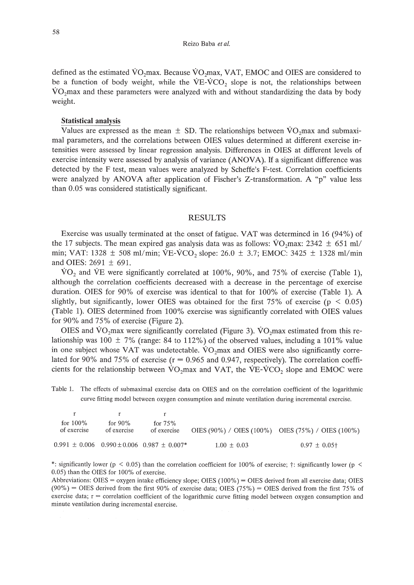defined as the estimated  $\rm VO_2$  max. Because  $\rm VO_2$  max, VAT, EMOC and OIES are considered to be a function of body weight, while the  $VE-VCO<sub>2</sub>$  slope is not, the relationships between VOzmax and these parameters were analyzed with and without standardizing the data by body weight.

#### **Statistical analysis**

Values are expressed as the mean  $\pm$  SD. The relationships between VO<sub>2</sub>max and submaximal parameters, and the correlations between OlES values determined at different exercise intensities were assessed by linear regression analysis. Differences in OlES at different levels of exercise intensity were assessed by analysis of variance (ANOVA). If a significant difference was detected by the F test, mean values were analyzed by Scheffe's F-test. Correlation coefficients were analyzed by ANOVA after application of Fischer's Z-transformation. A "p" value less than 0.05 was considered statistically significant.

#### RESULTS

Exercise was usually terminated at the onset of fatigue. VAT was determined in 16 (94%) of the 17 subjects. The mean expired gas analysis data was as follows:  $\rm \dot{VO}_{2}max: 2342 \pm 651 \, ml/$ min; VAT: 1328  $\pm$  508 ml/min; VE-VCO<sub>2</sub> slope: 26.0  $\pm$  3.7; EMOC: 3425  $\pm$  1328 ml/min and OIES: 2691 ± 691.

 $\text{VO}_2$  and  $\text{VE}$  were significantly correlated at 100%, 90%, and 75% of exercise (Table 1), although the correlation coefficients decreased with a decrease in the percentage of exercise duration. OlES for 90% of exercise was identical to that for 100% of exercise (Table 1). A slightly, but significantly, lower OIES was obtained for the first 75% of exercise ( $p < 0.05$ ) (Table 1). OIES determined from 100% exercise was significantly correlated with OIES values for 90% and 75% of exercise (Figure 2).

OIES and  $\text{VO}_2$ max were significantly correlated (Figure 3).  $\text{VO}_2$ max estimated from this relationship was 100  $\pm$  7% (range: 84 to 112%) of the observed values, including a 101% value in one subject whose VAT was undetectable.  $VO<sub>2</sub>max$  and OIES were also significantly correlated for 90% and 75% of exercise ( $r = 0.965$  and 0.947, respectively). The correlation coefficients for the relationship between  $\rm \dot{V}O_{2}$  max and VAT, the VE-VCO<sub>2</sub> slope and EMOC were

Table 1. The effects of submaximal exercise data on OIES and on the correlation coefficient of the logarithmic curve fitting model between oxygen consumption and minute ventilation during incremental exercise.

| for $100\%$<br>of exercise | for $90\%$<br>of exercise | for $75%$<br>of exercise                                | OIES (90%) / OIES (100%) OIES (75%) / OIES (100%) |                   |
|----------------------------|---------------------------|---------------------------------------------------------|---------------------------------------------------|-------------------|
|                            |                           | $0.991 \pm 0.006$ $0.990 \pm 0.006$ $0.987 \pm 0.007$ * | $1.00 \pm 0.03$                                   | $0.97 \pm 0.05$ † |

\*: significantly lower (p < 0.05) than the correlation coefficient for 100% of exercise;  $\dagger$ : significantly lower (p <  $0.05$ ) than the OIES for 100% of exercise.

Abbreviations: OIES = oxygen intake efficiency slope; OIES (100%) = OIES derived from all exercise data; OIES  $(90\%)$  = OIES derived from the first 90% of exercise data; OIES  $(75\%)$  = OIES derived from the first 75% of exercise data; r = correlation coefficient of the logarithmic curve fitting model between oxygen consumption and minute ventilation during incremental exercise.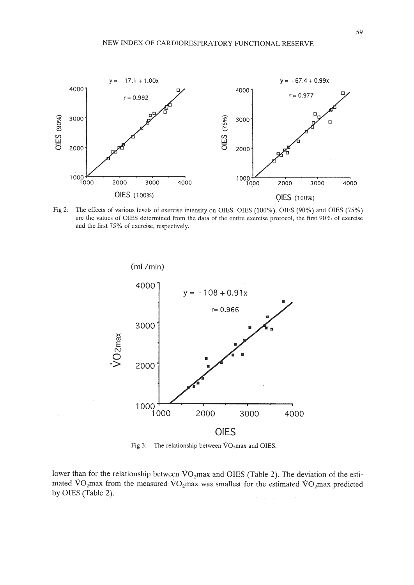

Fig 2: The effects of various levels of exercise intensity on OIES. OIES (100%), OIES (90%) and OIES (75%) are the values of OIES determined from the data of the entire exercise protocol, the first 90% of exercise and the first 75% of exercise, respectively.



Fig 3: The relationship between  $\text{VO}_2$ max and OIES.

lower than for the relationship between  $\rm \dot{VO}_2$  max and OIES (Table 2). The deviation of the estimated  $VO_2$ max from the measured  $VO_2$ max was smallest for the estimated  $VO_2$ max predicted by OIES (Table 2).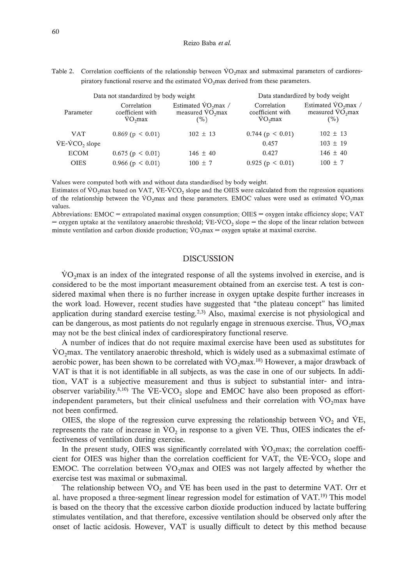Reizo Baba *et al.*

Table 2. Correlation coefficients of the relationship between VO<sub>2</sub>max and submaximal parameters of cardiorespiratory functional reserve and the estimated  $\rm VO_{2}$ max derived from these parameters.

|                 | Data not standardized by body weight         | Data standardized by body weight                                     |                                              |                                                           |
|-----------------|----------------------------------------------|----------------------------------------------------------------------|----------------------------------------------|-----------------------------------------------------------|
| Parameter       | Correlation<br>coefficient with<br>$VO2$ max | Estimated $\text{VO}_2$ max /<br>measured VO <sub>2</sub> max<br>(%) | Correlation<br>coefficient with<br>$VO2$ max | Estimated $\dot{V}O_2$ max /<br>measured $VO2$ max<br>(%) |
| <b>VAT</b>      | $0.869$ (p < 0.01)                           | $102 \pm 13$                                                         | $0.744$ (p $\leq 0.01$ )                     | $102 \pm 13$                                              |
| $VE-VCO2 slope$ |                                              |                                                                      | 0.457                                        | $103 \pm 19$                                              |
| <b>ECOM</b>     | $0.675$ (p $\leq 0.01$ )                     | $146 \pm 40$                                                         | 0.427                                        | $146 \pm 40$                                              |
| <b>OIES</b>     | $0.966$ (p $\leq 0.01$ )                     | $100 \pm 7$                                                          | 0.925(p < 0.01)                              | $100 \pm 7$                                               |

Values were computed both with and without data standardised by body weight.

Estimates of  $VO<sub>2</sub>$ max based on VAT, VE-VCO<sub>2</sub> slope and the OIES were calculated from the regression equations of the relationship between the  $\rm VO_2$ max and these parameters. EMOC values were used as estimated  $\rm VO_2$ max values.

Abbreviations: EMOC = extrapolated maximal oxygen consumption; OlES = oxygen intake efficiency slope; VAT  $=$  oxygen uptake at the ventilatory anaerobic threshold; VE-VCO<sub>2</sub> slope  $=$  the slope of the linear relation between minute ventilation and carbon dioxide production;  $\dot{V}O_2$  max = oxygen uptake at maximal exercise.

## DISCUSSION

 $VO<sub>2</sub>$  max is an index of the integrated response of all the systems involved in exercise, and is considered to be the most important measurement obtained from an exercise test. A test is considered maximal when there is no further increase in oxygen uptake despite further increases in the work load. However, recent studies have suggested that "the plateau concept" has limited application during standard exercise testing.<sup>2,3)</sup> Also, maximal exercise is not physiological and can be dangerous, as most patients do not regularly engage in strenuous exercise. Thus,  $VO<sub>2</sub>$  max may not be the best clinical index of cardiorespiratory functional reserve.

A number of indices that do not require maximal exercise have been used as substitutes for  $VO<sub>2</sub>$  max. The ventilatory anaerobic threshold, which is widely used as a submaximal estimate of aerobic power, has been shown to be correlated with  $\rm\dot{VO}\rm_2max$ .<sup>18)</sup> However, a major drawback of VAT is that it is not identifiable in all subjects, as was the case in one of our subjects. In addition, VAT is a subjective measurement and thus is subject to substantial inter- and intraobserver variability.<sup>8,10</sup>) The VE-VCO<sub>2</sub> slope and EMOC have also been proposed as effortindependent parameters, but their clinical usefulness and their correlation with  $\overline{VO}_2$  max have not been confirmed.

OIES, the slope of the regression curve expressing the relationship between  $\dot{V}O_2$  and  $\dot{V}E$ , represents the rate of increase in  $\rm \dot{V}O_{2}$  in response to a given  $\rm \dot{V}E$ . Thus, OIES indicates the effectiveness of ventilation during exercise.

In the present study, OIES was significantly correlated with  $VO<sub>2</sub>max$ ; the correlation coefficient for OIES was higher than the correlation coefficient for VAT, the VE-VCO<sub>2</sub> slope and EMOC. The correlation between  $VO_2$ max and OIES was not largely affected by whether the exercise test was maximal or submaximal.

The relationship between  $\rm \dot{VO}_2$  and  $\rm \dot{VE}$  has been used in the past to determine VAT. Orr et al. have proposed a three-segment linear regression model for estimation of VAT.<sup>19)</sup> This model is based on the theory that the excessive carbon dioxide production induced by lactate buffering stimulates ventilation, and that therefore, excessive ventilation should be observed only after the onset of lactic acidosis. However, VAT is usually difficult to detect by this method because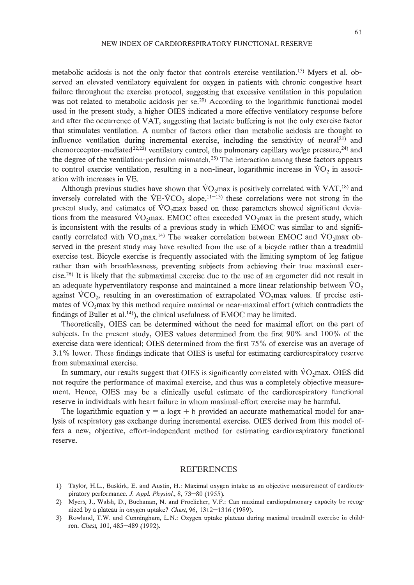metabolic acidosis is not the only factor that controls exercise ventilation. 15) Myers et al. observed an elevated ventilatory equivalent for oxygen in patients with chronic congestive heart failure throughout the exercise protocol, suggesting that excessive ventilation in this population was not related to metabolic acidosis per se.<sup>20</sup>) According to the logarithmic functional model used in the present study, a higher OIES indicated a more effective ventilatory response before and after the occurrence of VAT, suggesting that lactate buffering is not the only exercise factor that stimulates ventilation. A number of factors other than metabolic acidosis are thought to influence ventilation during incremental exercise, including the sensitivity of neural<sup>21)</sup> and chemoreceptor-mediated<sup>22,23</sup>) ventilatory control, the pulmonary capillary wedge pressure,<sup>24</sup>) and the degree of the ventilation-perfusion mismatch.<sup>25)</sup> The interaction among these factors appears to control exercise ventilation, resulting in a non-linear, logarithmic increase in  $\rm VO<sub>2</sub>$  in association with increases in VE.

Although previous studies have shown that  $\overline{VO_2}$  max is positively correlated with  $VAT$ ,<sup>18)</sup> and inversely correlated with the  $VE-VCO<sub>2</sub>$  slope,<sup>11-13)</sup> these correlations were not strong in the present study, and estimates of VO<sub>2</sub>max based on these parameters showed significant deviations from the measured  $\rm\ddot{VO}_2$  max. EMOC often exceeded  $\rm\ddot{VO}_2$  max in the present study, which is inconsistent with the results of a previous study in which EMOC was similar to and significantly correlated with  $\rm{VO_2max.14}$  The weaker correlation between EMOC and  $\rm{VO_2max}$  observed in the present study may have resulted from the use of a bicycle rather than a treadmill exercise test. Bicycle exercise is frequently associated with the limiting symptom of leg fatigue rather than with breathlessness, preventing subjects from achieving their true maximal exer $cise.<sup>26)</sup>$  It is likely that the submaximal exercise due to the use of an ergometer did not result in an adequate hyperventilatory response and maintained a more linear relationship between  $\dot{V}O_2$ against  $\rm VCO_2$ , resulting in an overestimation of extrapolated  $\rm VO_2$  max values. If precise estimates of  $VO<sub>2</sub>$ max by this method require maximal or near-maximal effort (which contradicts the findings of Buller et al.<sup>14)</sup>), the clinical usefulness of EMOC may be limited.

Theoretically, OIES can be determined without the need for maximal effort on the part of subjects. In the present study, OIES values determined from the first 90% and 100% of the exercise data were identical; OIES determined from the first 75% of exercise was an average of 3.1 % lower. These findings indicate that OIES is useful for estimating cardiorespiratory reserve from submaximal exercise.

In summary, our results suggest that OIES is significantly correlated with  $\overline{VO_2}$  max. OIES did not require the performance of maximal exercise, and thus was a completely objective measurement. Hence, OIES may be a clinically useful estimate of the cardiorespiratory functional reserve in individuals with heart failure in whom maximal-effort exercise may be harmful.

The logarithmic equation  $y = a \log x + b$  provided an accurate mathematical model for analysis of respiratory gas exchange during incremental exercise. OIES derived from this model offers a new, objective, effort-independent method for estimating cardiorespiratory functional reserve.

#### REFERENCES

- 1) Taylor, H.L., Buskirk, E. and Austin, H.: Maximal oxygen intake as an objective measurement of cardiorespiratory performance. J. *Appl. Physiol.,* 8, 73-80 (1955).
- 2) Myers, J., Walsh, D., Buchanan, N. and Froelicher, V.F.: Can maximal cardiopulmonary capacity be recognized by a plateau in oxygen uptake? *Chest,* 96, 1312-1316 (1989).
- 3) Rowland, T.W. and Cunningham, L.N.: Oxygen uptake plateau during maximal treadmill exercise in children. *Chest,* 101,485-489 (1992).